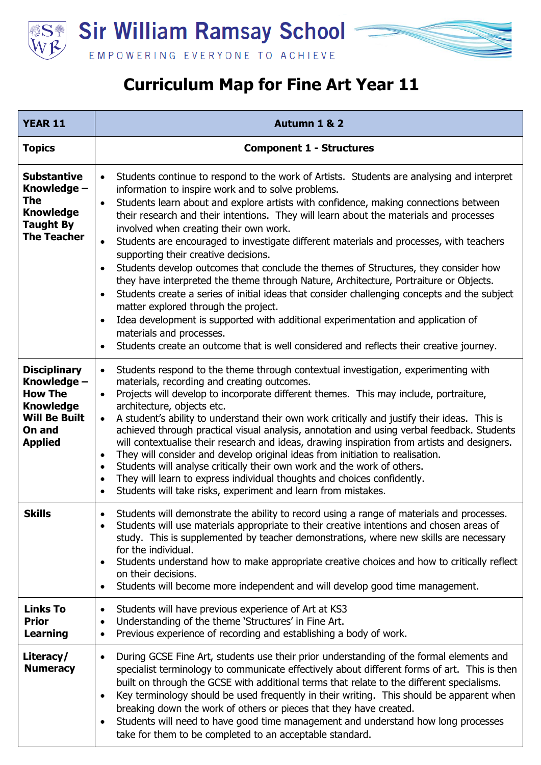

## **Curriculum Map for Fine Art Year 11**

| <b>YEAR 11</b>                                                                                                               | Autumn 1 & 2                                                                                                                                                                                                                                                                                                                                                                                                                                                                                                                                                                                                                                                                                                                                                                                                                                                                                                                                                                                                                                                                                                                                 |
|------------------------------------------------------------------------------------------------------------------------------|----------------------------------------------------------------------------------------------------------------------------------------------------------------------------------------------------------------------------------------------------------------------------------------------------------------------------------------------------------------------------------------------------------------------------------------------------------------------------------------------------------------------------------------------------------------------------------------------------------------------------------------------------------------------------------------------------------------------------------------------------------------------------------------------------------------------------------------------------------------------------------------------------------------------------------------------------------------------------------------------------------------------------------------------------------------------------------------------------------------------------------------------|
| <b>Topics</b>                                                                                                                | <b>Component 1 - Structures</b>                                                                                                                                                                                                                                                                                                                                                                                                                                                                                                                                                                                                                                                                                                                                                                                                                                                                                                                                                                                                                                                                                                              |
| <b>Substantive</b><br>Knowledge -<br><b>The</b><br><b>Knowledge</b><br><b>Taught By</b><br><b>The Teacher</b>                | Students continue to respond to the work of Artists. Students are analysing and interpret<br>$\bullet$<br>information to inspire work and to solve problems.<br>Students learn about and explore artists with confidence, making connections between<br>$\bullet$<br>their research and their intentions. They will learn about the materials and processes<br>involved when creating their own work.<br>Students are encouraged to investigate different materials and processes, with teachers<br>$\bullet$<br>supporting their creative decisions.<br>Students develop outcomes that conclude the themes of Structures, they consider how<br>$\bullet$<br>they have interpreted the theme through Nature, Architecture, Portraiture or Objects.<br>Students create a series of initial ideas that consider challenging concepts and the subject<br>$\bullet$<br>matter explored through the project.<br>Idea development is supported with additional experimentation and application of<br>$\bullet$<br>materials and processes.<br>Students create an outcome that is well considered and reflects their creative journey.<br>$\bullet$ |
| <b>Disciplinary</b><br>Knowledge -<br><b>How The</b><br><b>Knowledge</b><br><b>Will Be Built</b><br>On and<br><b>Applied</b> | Students respond to the theme through contextual investigation, experimenting with<br>$\bullet$<br>materials, recording and creating outcomes.<br>Projects will develop to incorporate different themes. This may include, portraiture,<br>$\bullet$<br>architecture, objects etc.<br>A student's ability to understand their own work critically and justify their ideas. This is<br>$\bullet$<br>achieved through practical visual analysis, annotation and using verbal feedback. Students<br>will contextualise their research and ideas, drawing inspiration from artists and designers.<br>They will consider and develop original ideas from initiation to realisation.<br>$\bullet$<br>Students will analyse critically their own work and the work of others.<br>$\bullet$<br>They will learn to express individual thoughts and choices confidently.<br>$\bullet$<br>Students will take risks, experiment and learn from mistakes.<br>$\bullet$                                                                                                                                                                                    |
| <b>Skills</b>                                                                                                                | Students will demonstrate the ability to record using a range of materials and processes.<br>$\bullet$<br>Students will use materials appropriate to their creative intentions and chosen areas of<br>$\bullet$<br>study. This is supplemented by teacher demonstrations, where new skills are necessary<br>for the individual.<br>Students understand how to make appropriate creative choices and how to critically reflect<br>$\bullet$<br>on their decisions.<br>Students will become more independent and will develop good time management.<br>$\bullet$                                                                                                                                                                                                                                                                                                                                                                                                                                                                                                                                                                               |
| <b>Links To</b><br><b>Prior</b><br>Learning                                                                                  | Students will have previous experience of Art at KS3<br>$\bullet$<br>Understanding of the theme 'Structures' in Fine Art.<br>$\bullet$<br>Previous experience of recording and establishing a body of work.<br>$\bullet$                                                                                                                                                                                                                                                                                                                                                                                                                                                                                                                                                                                                                                                                                                                                                                                                                                                                                                                     |
| Literacy/<br><b>Numeracy</b>                                                                                                 | During GCSE Fine Art, students use their prior understanding of the formal elements and<br>$\bullet$<br>specialist terminology to communicate effectively about different forms of art. This is then<br>built on through the GCSE with additional terms that relate to the different specialisms.<br>Key terminology should be used frequently in their writing. This should be apparent when<br>$\bullet$<br>breaking down the work of others or pieces that they have created.<br>Students will need to have good time management and understand how long processes<br>$\bullet$<br>take for them to be completed to an acceptable standard.                                                                                                                                                                                                                                                                                                                                                                                                                                                                                               |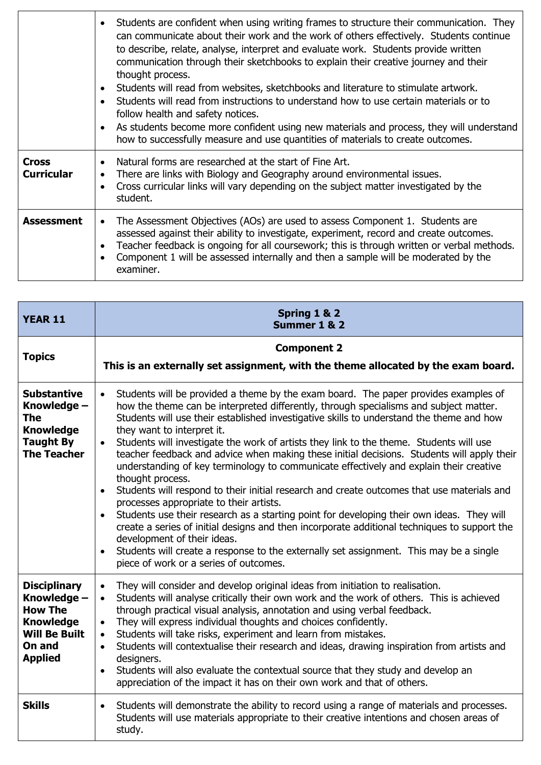|                                   | Students are confident when using writing frames to structure their communication. They<br>$\bullet$<br>can communicate about their work and the work of others effectively. Students continue<br>to describe, relate, analyse, interpret and evaluate work. Students provide written<br>communication through their sketchbooks to explain their creative journey and their<br>thought process.<br>Students will read from websites, sketchbooks and literature to stimulate artwork.<br>$\bullet$<br>Students will read from instructions to understand how to use certain materials or to<br>$\bullet$<br>follow health and safety notices.<br>As students become more confident using new materials and process, they will understand<br>$\bullet$<br>how to successfully measure and use quantities of materials to create outcomes. |
|-----------------------------------|-------------------------------------------------------------------------------------------------------------------------------------------------------------------------------------------------------------------------------------------------------------------------------------------------------------------------------------------------------------------------------------------------------------------------------------------------------------------------------------------------------------------------------------------------------------------------------------------------------------------------------------------------------------------------------------------------------------------------------------------------------------------------------------------------------------------------------------------|
| <b>Cross</b><br><b>Curricular</b> | Natural forms are researched at the start of Fine Art.<br>$\bullet$<br>There are links with Biology and Geography around environmental issues.<br>$\bullet$<br>Cross curricular links will vary depending on the subject matter investigated by the<br>$\bullet$<br>student.                                                                                                                                                                                                                                                                                                                                                                                                                                                                                                                                                              |
| <b>Assessment</b>                 | The Assessment Objectives (AOs) are used to assess Component 1. Students are<br>$\bullet$<br>assessed against their ability to investigate, experiment, record and create outcomes.<br>Teacher feedback is ongoing for all coursework; this is through written or verbal methods.<br>$\bullet$<br>Component 1 will be assessed internally and then a sample will be moderated by the<br>examiner.                                                                                                                                                                                                                                                                                                                                                                                                                                         |

| <b>YEAR 11</b>                                                                                                               | Spring 1 & 2<br>Summer 1 & 2                                                                                                                                                                                                                                                                                                                                                                                                                                                                                                                                                                                                                                                                                                                                                                                                                                                                                                                                                                                                                                                                                                                                                            |
|------------------------------------------------------------------------------------------------------------------------------|-----------------------------------------------------------------------------------------------------------------------------------------------------------------------------------------------------------------------------------------------------------------------------------------------------------------------------------------------------------------------------------------------------------------------------------------------------------------------------------------------------------------------------------------------------------------------------------------------------------------------------------------------------------------------------------------------------------------------------------------------------------------------------------------------------------------------------------------------------------------------------------------------------------------------------------------------------------------------------------------------------------------------------------------------------------------------------------------------------------------------------------------------------------------------------------------|
| <b>Topics</b>                                                                                                                | <b>Component 2</b><br>This is an externally set assignment, with the theme allocated by the exam board.                                                                                                                                                                                                                                                                                                                                                                                                                                                                                                                                                                                                                                                                                                                                                                                                                                                                                                                                                                                                                                                                                 |
| <b>Substantive</b><br>Knowledge -<br>The<br><b>Knowledge</b><br><b>Taught By</b><br><b>The Teacher</b>                       | Students will be provided a theme by the exam board. The paper provides examples of<br>$\bullet$<br>how the theme can be interpreted differently, through specialisms and subject matter.<br>Students will use their established investigative skills to understand the theme and how<br>they want to interpret it.<br>Students will investigate the work of artists they link to the theme. Students will use<br>$\bullet$<br>teacher feedback and advice when making these initial decisions. Students will apply their<br>understanding of key terminology to communicate effectively and explain their creative<br>thought process.<br>Students will respond to their initial research and create outcomes that use materials and<br>$\bullet$<br>processes appropriate to their artists.<br>Students use their research as a starting point for developing their own ideas. They will<br>$\bullet$<br>create a series of initial designs and then incorporate additional techniques to support the<br>development of their ideas.<br>Students will create a response to the externally set assignment. This may be a single<br>$\bullet$<br>piece of work or a series of outcomes. |
| <b>Disciplinary</b><br>Knowledge -<br><b>How The</b><br><b>Knowledge</b><br><b>Will Be Built</b><br>On and<br><b>Applied</b> | They will consider and develop original ideas from initiation to realisation.<br>$\bullet$<br>Students will analyse critically their own work and the work of others. This is achieved<br>$\bullet$<br>through practical visual analysis, annotation and using verbal feedback.<br>They will express individual thoughts and choices confidently.<br>$\bullet$<br>Students will take risks, experiment and learn from mistakes.<br>$\bullet$<br>Students will contextualise their research and ideas, drawing inspiration from artists and<br>$\bullet$<br>designers.<br>Students will also evaluate the contextual source that they study and develop an<br>$\bullet$<br>appreciation of the impact it has on their own work and that of others.                                                                                                                                                                                                                                                                                                                                                                                                                                       |
| <b>Skills</b>                                                                                                                | Students will demonstrate the ability to record using a range of materials and processes.<br>$\bullet$<br>Students will use materials appropriate to their creative intentions and chosen areas of<br>study.                                                                                                                                                                                                                                                                                                                                                                                                                                                                                                                                                                                                                                                                                                                                                                                                                                                                                                                                                                            |